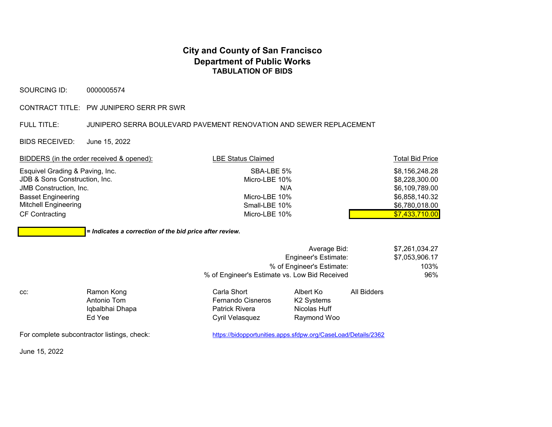## **City and County of San Francisco Department of Public Works TABULATION OF BIDS**

SOURCING ID: 0000005574

CONTRACT TITLE: PW JUNIPERO SERR PR SWR

## FULL TITLE: JUNIPERO SERRA BOULEVARD PAVEMENT RENOVATION AND SEWER REPLACEMENT

BIDS RECEIVED: June 15, 2022

| BIDDERS (in the order received & opened): | LBE Status Claimed | <b>Total Bid Price</b> |
|-------------------------------------------|--------------------|------------------------|
| Esquivel Grading & Paving, Inc.           | SBA-LBE 5%         | \$8.156.248.28         |
| JDB & Sons Construction, Inc.             | Micro-LBE 10%      | \$8,228,300.00         |
| <b>JMB Construction, Inc.</b>             | N/A                | \$6,109,789.00         |
| <b>Basset Engineering</b>                 | Micro-LBE 10%      | \$6,858,140.32         |
| Mitchell Engineering                      | Small-LBE 10%      | \$6,780,018.00         |
| <b>CF Contracting</b>                     | Micro-LBE 10%      | \$7,433,710.00         |

*= Indicates a correction of the bid price after review.*

| Average Bid:                                  | \$7,261,034.27 |
|-----------------------------------------------|----------------|
| Engineer's Estimate:                          | \$7.053.906.17 |
| % of Engineer's Estimate:                     | 103%           |
| % of Engineer's Estimate vs. Low Bid Received | 96%            |

| CC. | Ramon Kong      | Carla Short              | Albert Ko    | All Bidders |  |
|-----|-----------------|--------------------------|--------------|-------------|--|
|     | Antonio Tom     | <b>Fernando Cisneros</b> | K2 Systems   |             |  |
|     | Iqbalbhai Dhapa | <b>Patrick Rivera</b>    | Nicolas Huff |             |  |
|     | Ed Yee          | Cyril Velasquez          | Raymond Woo  |             |  |

For complete subcontractor listings, check: https://bidopportunities.apps.sfdpw.org/CaseLoad/Details/2362

June 15, 2022